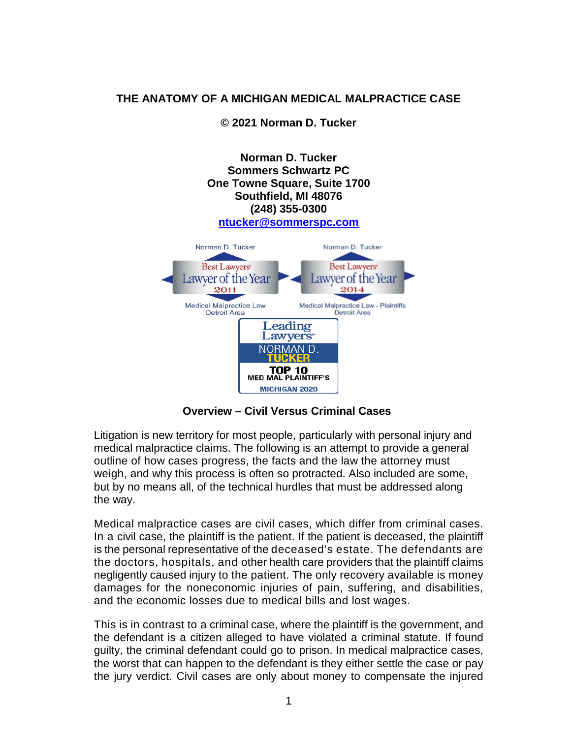# **THE ANATOMY OF A MICHIGAN MEDICAL MALPRACTICE CASE**

**© 2021 Norman D. Tucker**



**Overview – Civil Versus Criminal Cases**

Litigation is new territory for most people, particularly with personal injury and medical malpractice claims. The following is an attempt to provide a general outline of how cases progress, the facts and the law the attorney must weigh, and why this process is often so protracted. Also included are some, but by no means all, of the technical hurdles that must be addressed along the way.

Medical malpractice cases are civil cases, which differ from criminal cases. In a civil case, the plaintiff is the patient. If the patient is deceased, the plaintiff is the personal representative of the deceased's estate. The defendants are the doctors, hospitals, and other health care providers that the plaintiff claims negligently caused injury to the patient. The only recovery available is money damages for the noneconomic injuries of pain, suffering, and disabilities, and the economic losses due to medical bills and lost wages.

This is in contrast to a criminal case, where the plaintiff is the government, and the defendant is a citizen alleged to have violated a criminal statute. If found guilty, the criminal defendant could go to prison. In medical malpractice cases, the worst that can happen to the defendant is they either settle the case or pay the jury verdict. Civil cases are only about money to compensate the injured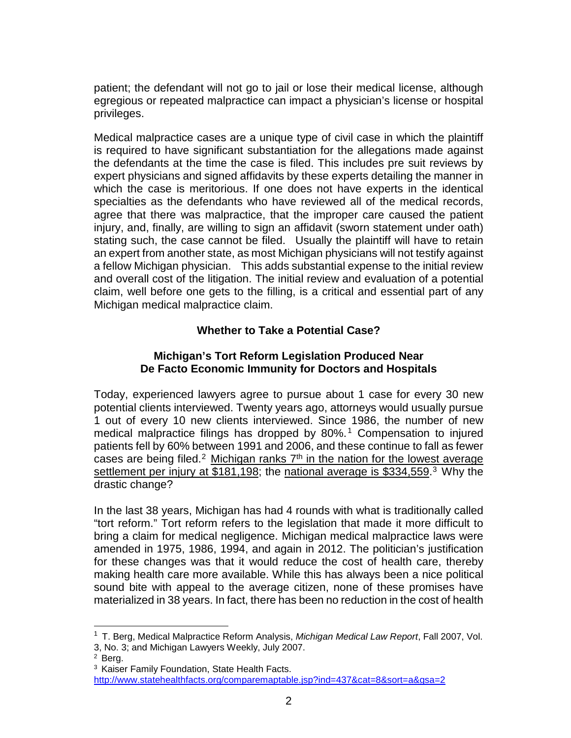patient; the defendant will not go to jail or lose their medical license, although egregious or repeated malpractice can impact a physician's license or hospital privileges.

Medical malpractice cases are a unique type of civil case in which the plaintiff is required to have significant substantiation for the allegations made against the defendants at the time the case is filed. This includes pre suit reviews by expert physicians and signed affidavits by these experts detailing the manner in which the case is meritorious. If one does not have experts in the identical specialties as the defendants who have reviewed all of the medical records, agree that there was malpractice, that the improper care caused the patient injury, and, finally, are willing to sign an affidavit (sworn statement under oath) stating such, the case cannot be filed. Usually the plaintiff will have to retain an expert from another state, as most Michigan physicians will not testify against a fellow Michigan physician. This adds substantial expense to the initial review and overall cost of the litigation. The initial review and evaluation of a potential claim, well before one gets to the filling, is a critical and essential part of any Michigan medical malpractice claim.

# **Whether to Take a Potential Case?**

## **Michigan's Tort Reform Legislation Produced Near De Facto Economic Immunity for Doctors and Hospitals**

Today, experienced lawyers agree to pursue about 1 case for every 30 new potential clients interviewed. Twenty years ago, attorneys would usually pursue 1 out of every 10 new clients interviewed. Since 1986, the number of new medical malpractice filings has dropped by 80%.<sup>[1](#page-1-0)</sup> Compensation to injured patients fell by 60% between 1991 and 2006, and these continue to fall as fewer cases are being filed.<sup>[2](#page-1-1)</sup> Michigan ranks  $7<sup>th</sup>$  in the nation for the lowest average settlement per injury at \$181,198; the national average is \$[3](#page-1-2)34,559.<sup>3</sup> Why the drastic change?

In the last 38 years, Michigan has had 4 rounds with what is traditionally called "tort reform." Tort reform refers to the legislation that made it more difficult to bring a claim for medical negligence. Michigan medical malpractice laws were amended in 1975, 1986, 1994, and again in 2012. The politician's justification for these changes was that it would reduce the cost of health care, thereby making health care more available. While this has always been a nice political sound bite with appeal to the average citizen, none of these promises have materialized in 38 years. In fact, there has been no reduction in the cost of health

<span id="page-1-0"></span><sup>1</sup> T. Berg, Medical Malpractice Reform Analysis, *Michigan Medical Law Report*, Fall 2007, Vol. 3, No. 3; and Michigan Lawyers Weekly, July 2007.

<span id="page-1-2"></span><span id="page-1-1"></span><sup>2</sup> Berg.

<sup>3</sup> Kaiser Family Foundation, State Health Facts.

<http://www.statehealthfacts.org/comparemaptable.jsp?ind=437&cat=8&sort=a&gsa=2>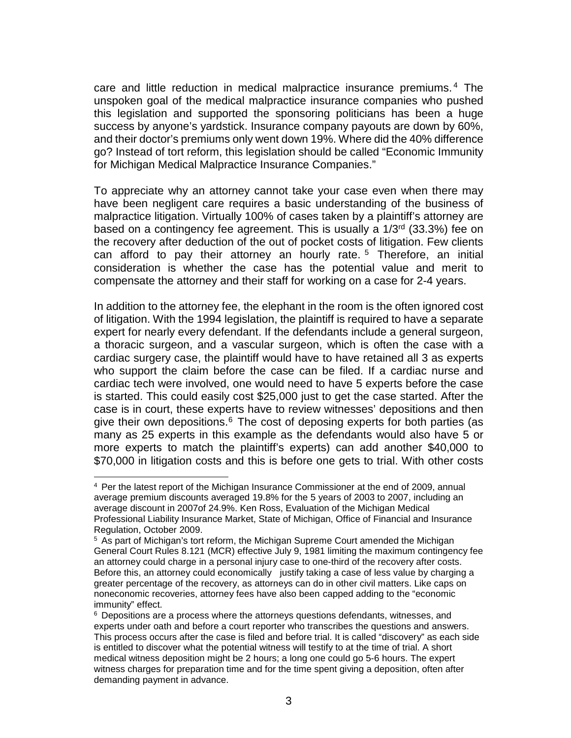care and little reduction in medical malpractice insurance premiums. [4](#page-2-0) The unspoken goal of the medical malpractice insurance companies who pushed this legislation and supported the sponsoring politicians has been a huge success by anyone's yardstick. Insurance company payouts are down by 60%, and their doctor's premiums only went down 19%. Where did the 40% difference go? Instead of tort reform, this legislation should be called "Economic Immunity for Michigan Medical Malpractice Insurance Companies."

To appreciate why an attorney cannot take your case even when there may have been negligent care requires a basic understanding of the business of malpractice litigation. Virtually 100% of cases taken by a plaintiff's attorney are based on a contingency fee agreement. This is usually a 1/3rd (33.3%) fee on the recovery after deduction of the out of pocket costs of litigation. Few clients can afford to pay their attorney an hourly rate. [5](#page-2-1) Therefore, an initial consideration is whether the case has the potential value and merit to compensate the attorney and their staff for working on a case for 2-4 years.

In addition to the attorney fee, the elephant in the room is the often ignored cost of litigation. With the 1994 legislation, the plaintiff is required to have a separate expert for nearly every defendant. If the defendants include a general surgeon, a thoracic surgeon, and a vascular surgeon, which is often the case with a cardiac surgery case, the plaintiff would have to have retained all 3 as experts who support the claim before the case can be filed. If a cardiac nurse and cardiac tech were involved, one would need to have 5 experts before the case is started. This could easily cost \$25,000 just to get the case started. After the case is in court, these experts have to review witnesses' depositions and then give their own depositions. $6$  The cost of deposing experts for both parties (as many as 25 experts in this example as the defendants would also have 5 or more experts to match the plaintiff's experts) can add another \$40,000 to \$70,000 in litigation costs and this is before one gets to trial. With other costs

<span id="page-2-0"></span><sup>4</sup> Per the latest report of the Michigan Insurance Commissioner at the end of 2009, annual average premium discounts averaged 19.8% for the 5 years of 2003 to 2007, including an average discount in 2007of 24.9%. Ken Ross, Evaluation of the Michigan Medical Professional Liability Insurance Market, State of Michigan, Office of Financial and Insurance Regulation, October 2009.

<span id="page-2-1"></span><sup>5</sup> As part of Michigan's tort reform, the Michigan Supreme Court amended the Michigan General Court Rules 8.121 (MCR) effective July 9, 1981 limiting the maximum contingency fee an attorney could charge in a personal injury case to one-third of the recovery after costs. Before this, an attorney could economically justify taking a case of less value by charging a greater percentage of the recovery, as attorneys can do in other civil matters. Like caps on noneconomic recoveries, attorney fees have also been capped adding to the "economic immunity" effect.

<span id="page-2-2"></span><sup>6</sup> Depositions are a process where the attorneys questions defendants, witnesses, and experts under oath and before a court reporter who transcribes the questions and answers. This process occurs after the case is filed and before trial. It is called "discovery" as each side is entitled to discover what the potential witness will testify to at the time of trial. A short medical witness deposition might be 2 hours; a long one could go 5-6 hours. The expert witness charges for preparation time and for the time spent giving a deposition, often after demanding payment in advance.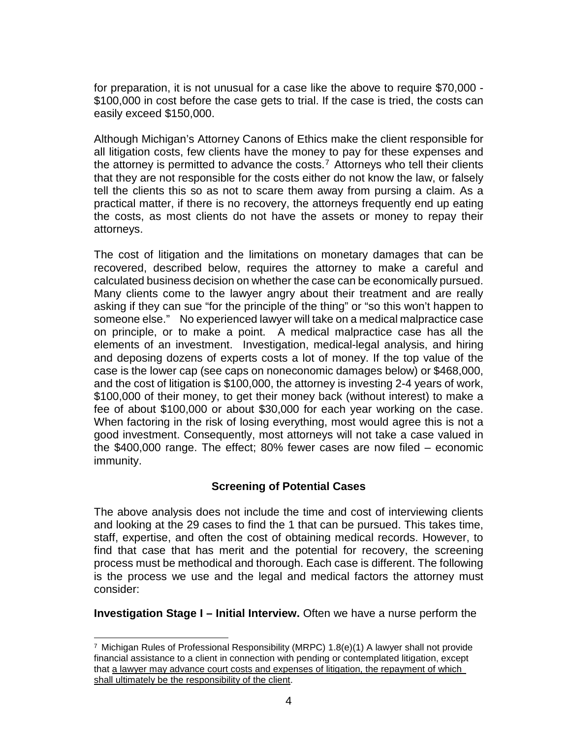for preparation, it is not unusual for a case like the above to require \$70,000 - \$100,000 in cost before the case gets to trial. If the case is tried, the costs can easily exceed \$150,000.

Although Michigan's Attorney Canons of Ethics make the client responsible for all litigation costs, few clients have the money to pay for these expenses and the attorney is permitted to advance the costs.<sup>[7](#page-3-0)</sup> Attorneys who tell their clients that they are not responsible for the costs either do not know the law, or falsely tell the clients this so as not to scare them away from pursing a claim. As a practical matter, if there is no recovery, the attorneys frequently end up eating the costs, as most clients do not have the assets or money to repay their attorneys.

The cost of litigation and the limitations on monetary damages that can be recovered, described below, requires the attorney to make a careful and calculated business decision on whether the case can be economically pursued. Many clients come to the lawyer angry about their treatment and are really asking if they can sue "for the principle of the thing" or "so this won't happen to someone else." No experienced lawyer will take on a medical malpractice case on principle, or to make a point. A medical malpractice case has all the elements of an investment. Investigation, medical-legal analysis, and hiring and deposing dozens of experts costs a lot of money. If the top value of the case is the lower cap (see caps on noneconomic damages below) or \$468,000, and the cost of litigation is \$100,000, the attorney is investing 2-4 years of work, \$100,000 of their money, to get their money back (without interest) to make a fee of about \$100,000 or about \$30,000 for each year working on the case. When factoring in the risk of losing everything, most would agree this is not a good investment. Consequently, most attorneys will not take a case valued in the \$400,000 range. The effect; 80% fewer cases are now filed – economic immunity.

# **Screening of Potential Cases**

The above analysis does not include the time and cost of interviewing clients and looking at the 29 cases to find the 1 that can be pursued. This takes time, staff, expertise, and often the cost of obtaining medical records. However, to find that case that has merit and the potential for recovery, the screening process must be methodical and thorough. Each case is different. The following is the process we use and the legal and medical factors the attorney must consider:

**Investigation Stage I – Initial Interview.** Often we have a nurse perform the

<span id="page-3-0"></span><sup>-</sup><sup>7</sup> Michigan Rules of Professional Responsibility (MRPC) 1.8( $e$ )(1) A lawyer shall not provide financial assistance to a client in connection with pending or contemplated litigation, except that a lawyer may advance court costs and expenses of litigation, the repayment of which shall ultimately be the responsibility of the client.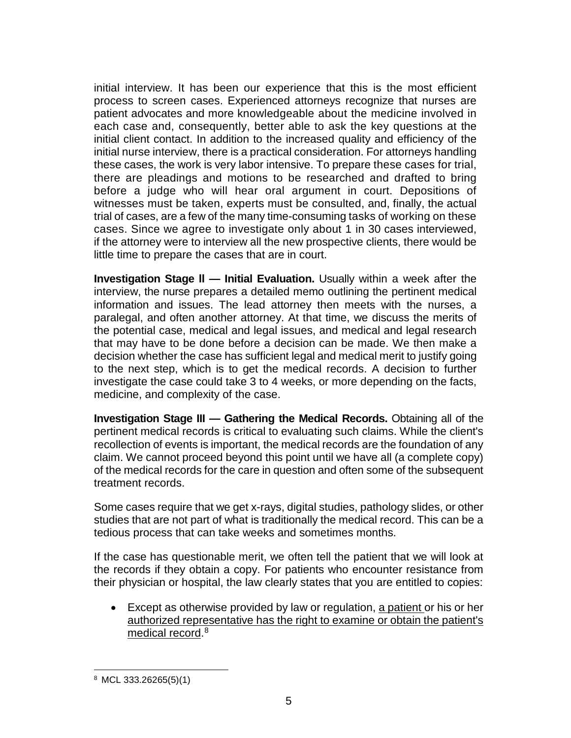initial interview. It has been our experience that this is the most efficient process to screen cases. Experienced attorneys recognize that nurses are patient advocates and more knowledgeable about the medicine involved in each case and, consequently, better able to ask the key questions at the initial client contact. In addition to the increased quality and efficiency of the initial nurse interview, there is a practical consideration. For attorneys handling these cases, the work is very labor intensive. To prepare these cases for trial, there are pleadings and motions to be researched and drafted to bring before a judge who will hear oral argument in court. Depositions of witnesses must be taken, experts must be consulted, and, finally, the actual trial of cases, are a few of the many time-consuming tasks of working on these cases. Since we agree to investigate only about 1 in 30 cases interviewed, if the attorney were to interview all the new prospective clients, there would be little time to prepare the cases that are in court.

**Investigation Stage ll — Initial Evaluation.** Usually within a week after the interview, the nurse prepares a detailed memo outlining the pertinent medical information and issues. The lead attorney then meets with the nurses, a paralegal, and often another attorney. At that time, we discuss the merits of the potential case, medical and legal issues, and medical and legal research that may have to be done before a decision can be made. We then make a decision whether the case has sufficient legal and medical merit to justify going to the next step, which is to get the medical records. A decision to further investigate the case could take 3 to 4 weeks, or more depending on the facts, medicine, and complexity of the case.

**Investigation Stage III — Gathering the Medical Records.** Obtaining all of the pertinent medical records is critical to evaluating such claims. While the client's recollection of events is important, the medical records are the foundation of any claim. We cannot proceed beyond this point until we have all (a complete copy) of the medical records for the care in question and often some of the subsequent treatment records.

Some cases require that we get x-rays, digital studies, pathology slides, or other studies that are not part of what is traditionally the medical record. This can be a tedious process that can take weeks and sometimes months.

If the case has questionable merit, we often tell the patient that we will look at the records if they obtain a copy. For patients who encounter resistance from their physician or hospital, the law clearly states that you are entitled to copies:

• Except as otherwise provided by law or regulation, a patient or his or her authorized representative has the right to examine or obtain the patient's medical record.<sup>[8](#page-4-0)</sup>

<span id="page-4-0"></span><sup>8</sup> MCL 333.26265(5)(1)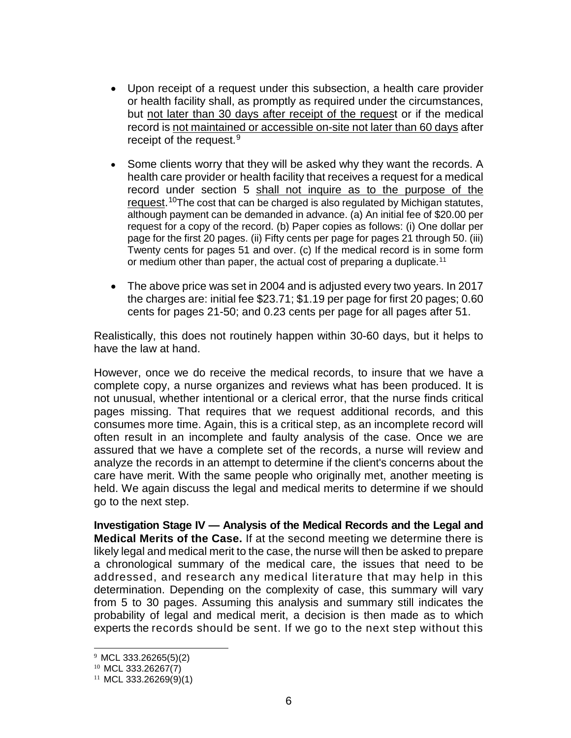- Upon receipt of a request under this subsection, a health care provider or health facility shall, as promptly as required under the circumstances, but not later than 30 days after receipt of the request or if the medical record is not maintained or accessible on-site not later than 60 days after receipt of the request. $9$
- Some clients worry that they will be asked why they want the records. A health care provider or health facility that receives a request for a medical record under section 5 shall not inquire as to the purpose of the request. [10T](#page-5-1)he cost that can be charged is also regulated by Michigan statutes, although payment can be demanded in advance. (a) An initial fee of \$20.00 per request for a copy of the record. (b) Paper copies as follows: (i) One dollar per page for the first 20 pages. (ii) Fifty cents per page for pages 21 through 50. (iii) Twenty cents for pages 51 and over. (c) If the medical record is in some form or medium other than paper, the actual cost of preparing a duplicate.<sup>[11](#page-5-2)</sup>
- The above price was set in 2004 and is adjusted every two years. In 2017 the charges are: initial fee \$23.71; \$1.19 per page for first 20 pages; 0.60 cents for pages 21-50; and 0.23 cents per page for all pages after 51.

Realistically, this does not routinely happen within 30-60 days, but it helps to have the law at hand.

However, once we do receive the medical records, to insure that we have a complete copy, a nurse organizes and reviews what has been produced. It is not unusual, whether intentional or a clerical error, that the nurse finds critical pages missing. That requires that we request additional records, and this consumes more time. Again, this is a critical step, as an incomplete record will often result in an incomplete and faulty analysis of the case. Once we are assured that we have a complete set of the records, a nurse will review and analyze the records in an attempt to determine if the client's concerns about the care have merit. With the same people who originally met, another meeting is held. We again discuss the legal and medical merits to determine if we should go to the next step.

**Investigation Stage IV — Analysis of the Medical Records and the Legal and Medical Merits of the Case.** If at the second meeting we determine there is likely legal and medical merit to the case, the nurse will then be asked to prepare a chronological summary of the medical care, the issues that need to be addressed, and research any medical literature that may help in this determination. Depending on the complexity of case, this summary will vary from 5 to 30 pages. Assuming this analysis and summary still indicates the probability of legal and medical merit, a decision is then made as to which experts the records should be sent. If we go to the next step without this

<span id="page-5-0"></span> <sup>9</sup> MCL 333.26265(5)(2)

<span id="page-5-1"></span><sup>10</sup> MCL 333.26267(7)

<span id="page-5-2"></span> $11$  MCL 333.26269(9)(1)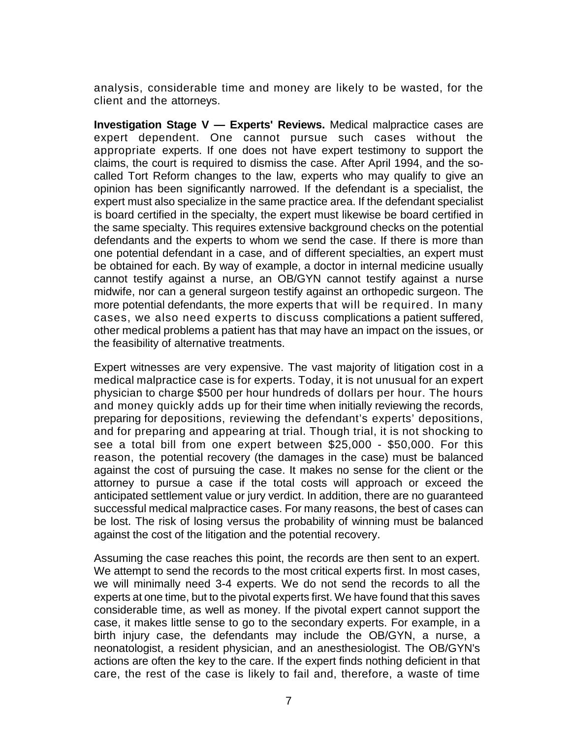analysis, considerable time and money are likely to be wasted, for the client and the attorneys.

**Investigation Stage V — Experts' Reviews.** Medical malpractice cases are expert dependent. One cannot pursue such cases without the appropriate experts. If one does not have expert testimony to support the claims, the court is required to dismiss the case. After April 1994, and the socalled Tort Reform changes to the law, experts who may qualify to give an opinion has been significantly narrowed. If the defendant is a specialist, the expert must also specialize in the same practice area. If the defendant specialist is board certified in the specialty, the expert must likewise be board certified in the same specialty. This requires extensive background checks on the potential defendants and the experts to whom we send the case. If there is more than one potential defendant in a case, and of different specialties, an expert must be obtained for each. By way of example, a doctor in internal medicine usually cannot testify against a nurse, an OB/GYN cannot testify against a nurse midwife, nor can a general surgeon testify against an orthopedic surgeon. The more potential defendants, the more experts that will be required. In many cases, we also need experts to discuss complications a patient suffered, other medical problems a patient has that may have an impact on the issues, or the feasibility of alternative treatments.

Expert witnesses are very expensive. The vast majority of litigation cost in a medical malpractice case is for experts. Today, it is not unusual for an expert physician to charge \$500 per hour hundreds of dollars per hour. The hours and money quickly adds up for their time when initially reviewing the records, preparing for depositions, reviewing the defendant's experts' depositions, and for preparing and appearing at trial. Though trial, it is not shocking to see a total bill from one expert between \$25,000 - \$50,000. For this reason, the potential recovery (the damages in the case) must be balanced against the cost of pursuing the case. It makes no sense for the client or the attorney to pursue a case if the total costs will approach or exceed the anticipated settlement value or jury verdict. In addition, there are no guaranteed successful medical malpractice cases. For many reasons, the best of cases can be lost. The risk of losing versus the probability of winning must be balanced against the cost of the litigation and the potential recovery.

Assuming the case reaches this point, the records are then sent to an expert. We attempt to send the records to the most critical experts first. In most cases, we will minimally need 3-4 experts. We do not send the records to all the experts at one time, but to the pivotal experts first. We have found that this saves considerable time, as well as money. If the pivotal expert cannot support the case, it makes little sense to go to the secondary experts. For example, in a birth injury case, the defendants may include the OB/GYN, a nurse, a neonatologist, a resident physician, and an anesthesiologist. The OB/GYN's actions are often the key to the care. If the expert finds nothing deficient in that care, the rest of the case is likely to fail and, therefore, a waste of time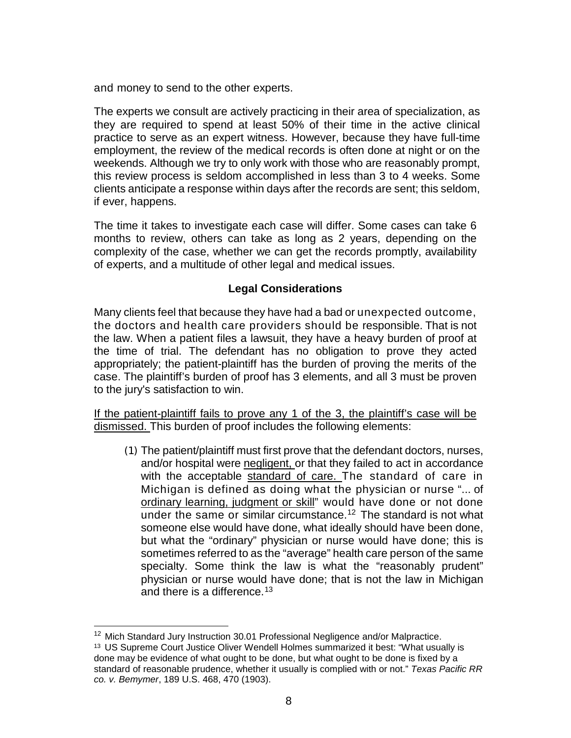and money to send to the other experts.

The experts we consult are actively practicing in their area of specialization, as they are required to spend at least 50% of their time in the active clinical practice to serve as an expert witness. However, because they have full-time employment, the review of the medical records is often done at night or on the weekends. Although we try to only work with those who are reasonably prompt, this review process is seldom accomplished in less than 3 to 4 weeks. Some clients anticipate a response within days after the records are sent; this seldom, if ever, happens.

The time it takes to investigate each case will differ. Some cases can take 6 months to review, others can take as long as 2 years, depending on the complexity of the case, whether we can get the records promptly, availability of experts, and a multitude of other legal and medical issues.

# **Legal Considerations**

Many clients feel that because they have had a bad or unexpected outcome, the doctors and health care providers should be responsible. That is not the law. When a patient files a lawsuit, they have a heavy burden of proof at the time of trial. The defendant has no obligation to prove they acted appropriately; the patient-plaintiff has the burden of proving the merits of the case. The plaintiff's burden of proof has 3 elements, and all 3 must be proven to the jury's satisfaction to win.

If the patient-plaintiff fails to prove any 1 of the 3, the plaintiff's case will be dismissed. This burden of proof includes the following elements:

(1) The patient/plaintiff must first prove that the defendant doctors, nurses, and/or hospital were negligent, or that they failed to act in accordance with the acceptable standard of care. The standard of care in Michigan is defined as doing what the physician or nurse "... of ordinary learning, judgment or skill" would have done or not done under the same or similar circumstance.<sup>[12](#page-7-0)</sup> The standard is not what someone else would have done, what ideally should have been done, but what the "ordinary" physician or nurse would have done; this is sometimes referred to as the "average" health care person of the same specialty. Some think the law is what the "reasonably prudent" physician or nurse would have done; that is not the law in Michigan and there is a difference.  $13$ 

<span id="page-7-0"></span><sup>&</sup>lt;sup>12</sup> Mich Standard Jury Instruction 30.01 [Professional](http://courts.mi.gov/Courts/MichiganSupremeCourt/mcji/_layouts/listform.aspx?PageType=4&ListId=%7b00FDD37F-CEEF-4A2A-8A50-EC6E184D19F1%7d&ID=1501&ContentTypeID=0x0100F36039000C0ECD4D9DA941968E043EF2005D5BB5F9C5B52647914A5FF3342DF172) Negligence and/or Malpractice.

<span id="page-7-1"></span><sup>&</sup>lt;sup>13</sup> US Supreme Court Justice Oliver Wendell Holmes summarized it best: "What usually is done may be evidence of what ought to be done, but what ought to be done is fixed by a standard of reasonable prudence, whether it usually is complied with or not." *Texas Pacific RR co. v. Bemymer*, 189 U.S. 468, 470 (1903).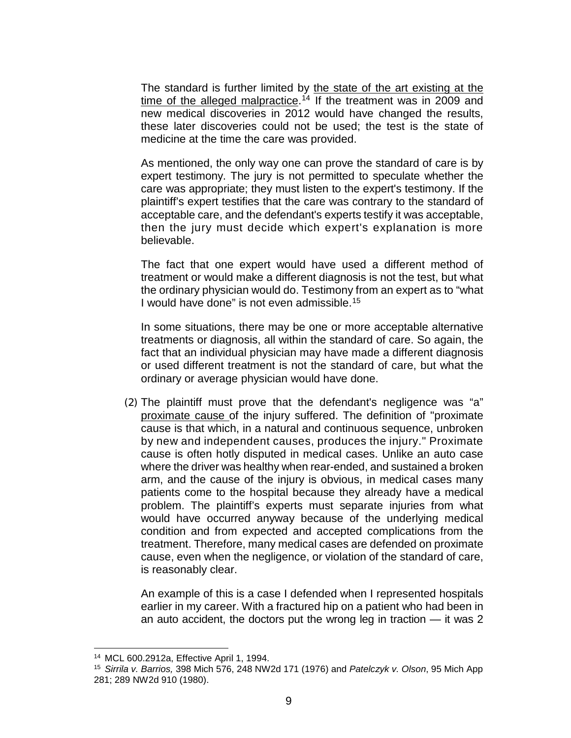The standard is further limited by the state of the art existing at the time of the alleged malpractice.<sup>[14](#page-8-0)</sup> If the treatment was in 2009 and new medical discoveries in 2012 would have changed the results, these later discoveries could not be used; the test is the state of medicine at the time the care was provided.

As mentioned, the only way one can prove the standard of care is by expert testimony. The jury is not permitted to speculate whether the care was appropriate; they must listen to the expert's testimony. If the plaintiff's expert testifies that the care was contrary to the standard of acceptable care, and the defendant's experts testify it was acceptable, then the jury must decide which expert's explanation is more believable.

The fact that one expert would have used a different method of treatment or would make a different diagnosis is not the test, but what the ordinary physician would do. Testimony from an expert as to "what I would have done" is not even admissible.[15](#page-8-1)

In some situations, there may be one or more acceptable alternative treatments or diagnosis, all within the standard of care. So again, the fact that an individual physician may have made a different diagnosis or used different treatment is not the standard of care, but what the ordinary or average physician would have done.

(2) The plaintiff must prove that the defendant's negligence was "a" proximate cause of the injury suffered. The definition of "proximate cause is that which, in a natural and continuous sequence, unbroken by new and independent causes, produces the injury." Proximate cause is often hotly disputed in medical cases. Unlike an auto case where the driver was healthy when rear-ended, and sustained a broken arm, and the cause of the injury is obvious, in medical cases many patients come to the hospital because they already have a medical problem. The plaintiff's experts must separate injuries from what would have occurred anyway because of the underlying medical condition and from expected and accepted complications from the treatment. Therefore, many medical cases are defended on proximate cause, even when the negligence, or violation of the standard of care, is reasonably clear.

An example of this is a case I defended when I represented hospitals earlier in my career. With a fractured hip on a patient who had been in an auto accident, the doctors put the wrong leg in traction — it was 2

l

<sup>14</sup> MCL 600.2912a, Effective April 1, 1994.

<span id="page-8-1"></span><span id="page-8-0"></span><sup>15</sup> *Sirrila v. Barrios,* 398 Mich 576, 248 NW2d 171 (1976) and *Patelczyk v. Olson*, 95 Mich App 281; 289 NW2d 910 (1980).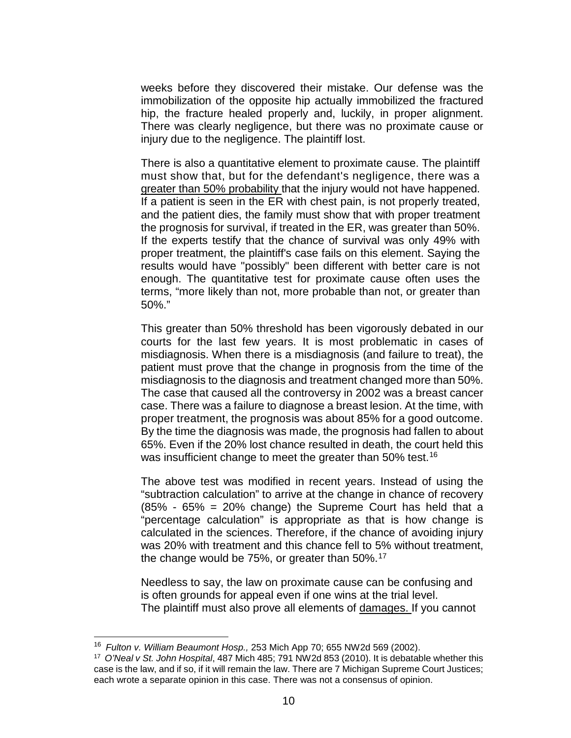weeks before they discovered their mistake. Our defense was the immobilization of the opposite hip actually immobilized the fractured hip, the fracture healed properly and, luckily, in proper alignment. There was clearly negligence, but there was no proximate cause or injury due to the negligence. The plaintiff lost.

There is also a quantitative element to proximate cause. The plaintiff must show that, but for the defendant's negligence, there was a greater than 50% probability that the injury would not have happened. If a patient is seen in the ER with chest pain, is not properly treated, and the patient dies, the family must show that with proper treatment the prognosis for survival, if treated in the ER, was greater than 50%. If the experts testify that the chance of survival was only 49% with proper treatment, the plaintiff's case fails on this element. Saying the results would have "possibly" been different with better care is not enough. The quantitative test for proximate cause often uses the terms, "more likely than not, more probable than not, or greater than 50%."

This greater than 50% threshold has been vigorously debated in our courts for the last few years. It is most problematic in cases of misdiagnosis. When there is a misdiagnosis (and failure to treat), the patient must prove that the change in prognosis from the time of the misdiagnosis to the diagnosis and treatment changed more than 50%. The case that caused all the controversy in 2002 was a breast cancer case. There was a failure to diagnose a breast lesion. At the time, with proper treatment, the prognosis was about 85% for a good outcome. By the time the diagnosis was made, the prognosis had fallen to about 65%. Even if the 20% lost chance resulted in death, the court held this was insufficient change to meet the greater than 50% test.<sup>[16](#page-9-0)</sup>

The above test was modified in recent years. Instead of using the "subtraction calculation" to arrive at the change in chance of recovery  $(85\% - 65\% = 20\%$  change) the Supreme Court has held that a "percentage calculation" is appropriate as that is how change is calculated in the sciences. Therefore, if the chance of avoiding injury was 20% with treatment and this chance fell to 5% without treatment, the change would be 75%, or greater than  $50\%$ .<sup>[17](#page-9-1)</sup>

Needless to say, the law on proximate cause can be confusing and is often grounds for appeal even if one wins at the trial level. The plaintiff must also prove all elements of damages. If you cannot

<span id="page-9-0"></span><sup>16</sup> *[Fulton v. William Beaumont Hosp.,](http://www.westlaw.com/Find/Default.wl?rs=dfa1.0&vr=2.0&DB=595&FindType=Y&SerialNum=2002604157)* [253 Mich App 70; 655 NW2d 569 \(2002\).](http://www.westlaw.com/Find/Default.wl?rs=dfa1.0&vr=2.0&DB=595&FindType=Y&SerialNum=2002604157)

<span id="page-9-1"></span><sup>17</sup> *O'Neal v St. John Hospital*, 487 Mich 485; 791 NW2d 853 (2010). It is debatable whether this case is the law, and if so, if it will remain the law. There are 7 Michigan Supreme Court Justices; each wrote a separate opinion in this case. There was not a consensus of opinion.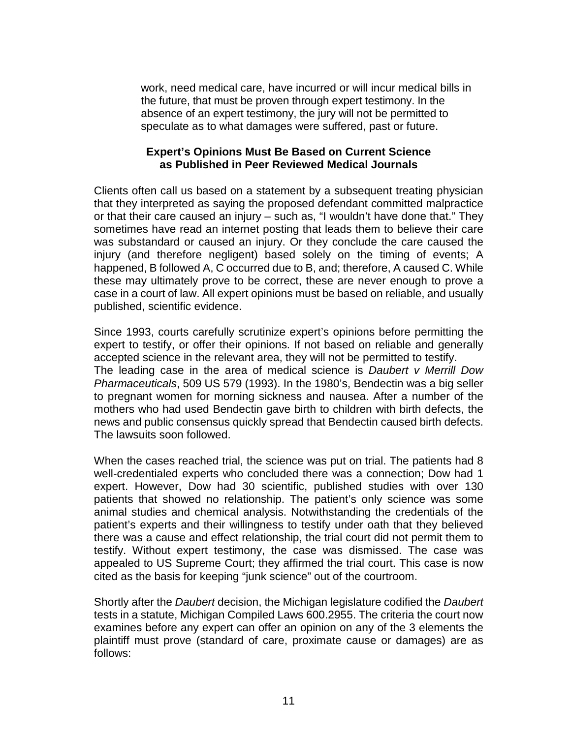work, need medical care, have incurred or will incur medical bills in the future, that must be proven through expert testimony. In the absence of an expert testimony, the jury will not be permitted to speculate as to what damages were suffered, past or future.

#### **Expert's Opinions Must Be Based on Current Science as Published in Peer Reviewed Medical Journals**

Clients often call us based on a statement by a subsequent treating physician that they interpreted as saying the proposed defendant committed malpractice or that their care caused an injury – such as, "I wouldn't have done that." They sometimes have read an internet posting that leads them to believe their care was substandard or caused an injury. Or they conclude the care caused the injury (and therefore negligent) based solely on the timing of events; A happened, B followed A, C occurred due to B, and; therefore, A caused C. While these may ultimately prove to be correct, these are never enough to prove a case in a court of law. All expert opinions must be based on reliable, and usually published, scientific evidence.

Since 1993, courts carefully scrutinize expert's opinions before permitting the expert to testify, or offer their opinions. If not based on reliable and generally accepted science in the relevant area, they will not be permitted to testify. The leading case in the area of medical science is *Daubert v Merrill Dow Pharmaceuticals*, 509 US 579 (1993). In the 1980's, Bendectin was a big seller to pregnant women for morning sickness and nausea. After a number of the mothers who had used Bendectin gave birth to children with birth defects, the news and public consensus quickly spread that Bendectin caused birth defects. The lawsuits soon followed.

When the cases reached trial, the science was put on trial. The patients had 8 well-credentialed experts who concluded there was a connection; Dow had 1 expert. However, Dow had 30 scientific, published studies with over 130 patients that showed no relationship. The patient's only science was some animal studies and chemical analysis. Notwithstanding the credentials of the patient's experts and their willingness to testify under oath that they believed there was a cause and effect relationship, the trial court did not permit them to testify. Without expert testimony, the case was dismissed. The case was appealed to US Supreme Court; they affirmed the trial court. This case is now cited as the basis for keeping "junk science" out of the courtroom.

Shortly after the *Daubert* decision, the Michigan legislature codified the *Daubert*  tests in a statute, Michigan Compiled Laws 600.2955. The criteria the court now examines before any expert can offer an opinion on any of the 3 elements the plaintiff must prove (standard of care, proximate cause or damages) are as follows: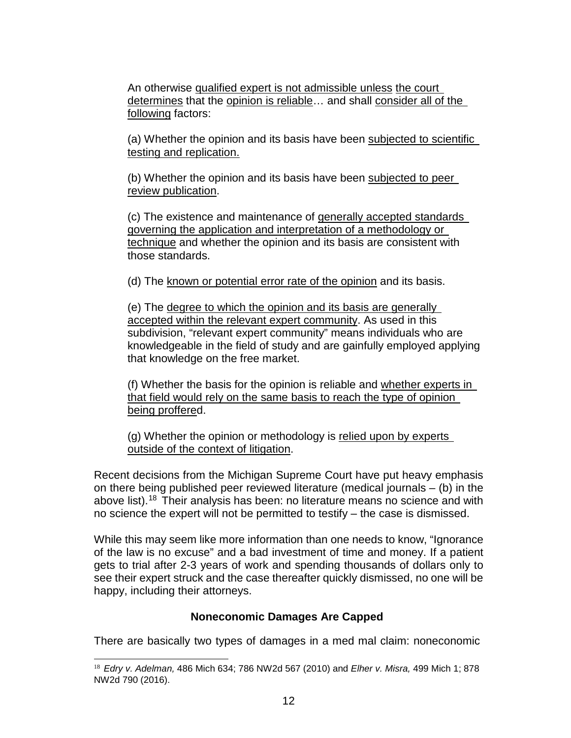An otherwise qualified expert is not admissible unless the court determines that the opinion is reliable… and shall consider all of the following factors:

(a) Whether the opinion and its basis have been subjected to scientific testing and replication.

(b) Whether the opinion and its basis have been subjected to peer review publication.

(c) The existence and maintenance of generally accepted standards governing the application and interpretation of a methodology or technique and whether the opinion and its basis are consistent with those standards.

(d) The known or potential error rate of the opinion and its basis.

(e) The degree to which the opinion and its basis are generally accepted within the relevant expert community. As used in this subdivision, "relevant expert community" means individuals who are knowledgeable in the field of study and are gainfully employed applying that knowledge on the free market.

(f) Whether the basis for the opinion is reliable and whether experts in that field would rely on the same basis to reach the type of opinion being proffered.

(g) Whether the opinion or methodology is relied upon by experts outside of the context of litigation.

Recent decisions from the Michigan Supreme Court have put heavy emphasis on there being published peer reviewed literature (medical journals – (b) in the above list).<sup>[18](#page-11-0)</sup> Their analysis has been: no literature means no science and with no science the expert will not be permitted to testify – the case is dismissed.

While this may seem like more information than one needs to know, "Ignorance of the law is no excuse" and a bad investment of time and money. If a patient gets to trial after 2-3 years of work and spending thousands of dollars only to see their expert struck and the case thereafter quickly dismissed, no one will be happy, including their attorneys.

### **Noneconomic Damages Are Capped**

There are basically two types of damages in a med mal claim: noneconomic

<span id="page-11-0"></span> <sup>18</sup> *Edry v. Adelman,* 486 Mich 634; 786 NW2d 567 (2010) and *Elher v. Misra,* 499 Mich 1; 878 NW2d 790 (2016).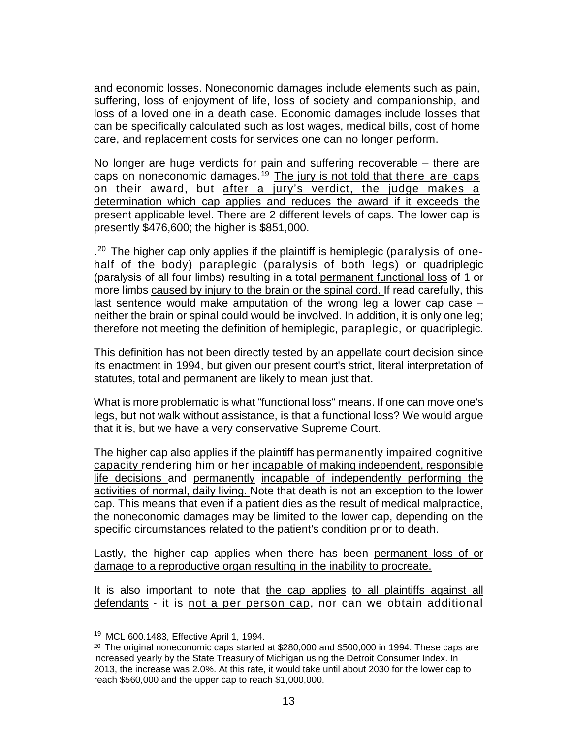and economic losses. Noneconomic damages include elements such as pain, suffering, loss of enjoyment of life, loss of society and companionship, and loss of a loved one in a death case. Economic damages include losses that can be specifically calculated such as lost wages, medical bills, cost of home care, and replacement costs for services one can no longer perform.

No longer are huge verdicts for pain and suffering recoverable – there are caps on noneconomic damages.<sup>[19](#page-12-0)</sup> The jury is not told that there are caps on their award, but after a jury's verdict, the judge makes a determination which cap applies and reduces the award if it exceeds the present applicable level. There are 2 different levels of caps. The lower cap is presently \$476,600; the higher is \$851,000.

.<sup>[20](#page-12-1)</sup> The higher cap only applies if the plaintiff is hemiplegic (paralysis of onehalf of the body) paraplegic (paralysis of both legs) or quadriplegic (paralysis of all four limbs) resulting in a total permanent functional loss of 1 or more limbs caused by injury to the brain or the spinal cord. If read carefully, this last sentence would make amputation of the wrong leg a lower cap case – neither the brain or spinal could would be involved. In addition, it is only one leg; therefore not meeting the definition of hemiplegic, paraplegic, or quadriplegic.

This definition has not been directly tested by an appellate court decision since its enactment in 1994, but given our present court's strict, literal interpretation of statutes, total and permanent are likely to mean just that.

What is more problematic is what "functional loss" means. If one can move one's legs, but not walk without assistance, is that a functional loss? We would argue that it is, but we have a very conservative Supreme Court.

The higher cap also applies if the plaintiff has permanently impaired cognitive capacity rendering him or her incapable of making independent, responsible life decisions and permanently incapable of independently performing the activities of normal, daily living. Note that death is not an exception to the lower cap. This means that even if a patient dies as the result of medical malpractice, the noneconomic damages may be limited to the lower cap, depending on the specific circumstances related to the patient's condition prior to death.

Lastly, the higher cap applies when there has been permanent loss of or damage to a reproductive organ resulting in the inability to procreate.

It is also important to note that the cap applies to all plaintiffs against all defendants - it is not a per person cap, nor can we obtain additional

<span id="page-12-0"></span><sup>19</sup> MCL 600.1483, Effective April 1, 1994.

<span id="page-12-1"></span> $20$  The original noneconomic caps started at \$280,000 and \$500,000 in 1994. These caps are increased yearly by the State Treasury of Michigan using the Detroit Consumer Index. In 2013, the increase was 2.0%. At this rate, it would take until about 2030 for the lower cap to reach \$560,000 and the upper cap to reach \$1,000,000.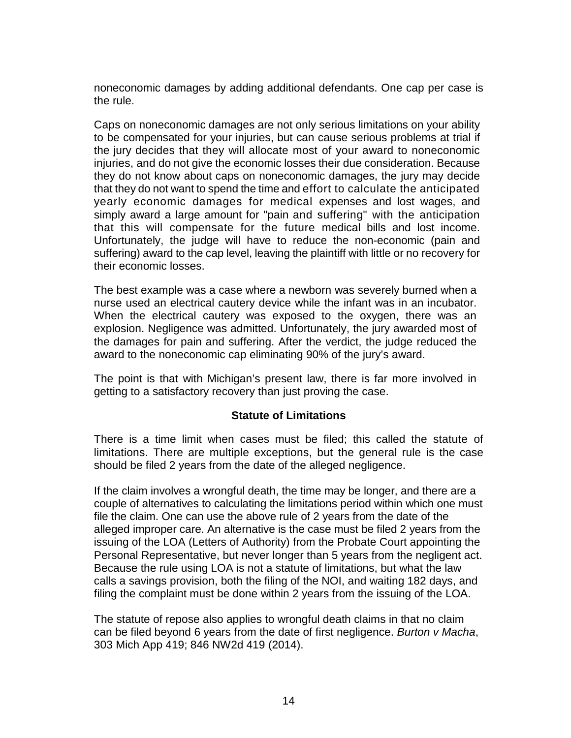noneconomic damages by adding additional defendants. One cap per case is the rule.

Caps on noneconomic damages are not only serious limitations on your ability to be compensated for your injuries, but can cause serious problems at trial if the jury decides that they will allocate most of your award to noneconomic injuries, and do not give the economic losses their due consideration. Because they do not know about caps on noneconomic damages, the jury may decide that they do not want to spend the time and effort to calculate the anticipated yearly economic damages for medical expenses and lost wages, and simply award a large amount for "pain and suffering" with the anticipation that this will compensate for the future medical bills and lost income. Unfortunately, the judge will have to reduce the non-economic (pain and suffering) award to the cap level, leaving the plaintiff with little or no recovery for their economic losses.

The best example was a case where a newborn was severely burned when a nurse used an electrical cautery device while the infant was in an incubator. When the electrical cautery was exposed to the oxygen, there was an explosion. Negligence was admitted. Unfortunately, the jury awarded most of the damages for pain and suffering. After the verdict, the judge reduced the award to the noneconomic cap eliminating 90% of the jury's award.

The point is that with Michigan's present law, there is far more involved in getting to a satisfactory recovery than just proving the case.

### **Statute of Limitations**

There is a time limit when cases must be filed; this called the statute of limitations. There are multiple exceptions, but the general rule is the case should be filed 2 years from the date of the alleged negligence.

If the claim involves a wrongful death, the time may be longer, and there are a couple of alternatives to calculating the limitations period within which one must file the claim. One can use the above rule of 2 years from the date of the alleged improper care. An alternative is the case must be filed 2 years from the issuing of the LOA (Letters of Authority) from the Probate Court appointing the Personal Representative, but never longer than 5 years from the negligent act. Because the rule using LOA is not a statute of limitations, but what the law calls a savings provision, both the filing of the NOI, and waiting 182 days, and filing the complaint must be done within 2 years from the issuing of the LOA.

The statute of repose also applies to wrongful death claims in that no claim can be filed beyond 6 years from the date of first negligence. *Burton v Macha*, 303 Mich App 419; 846 NW2d 419 (2014).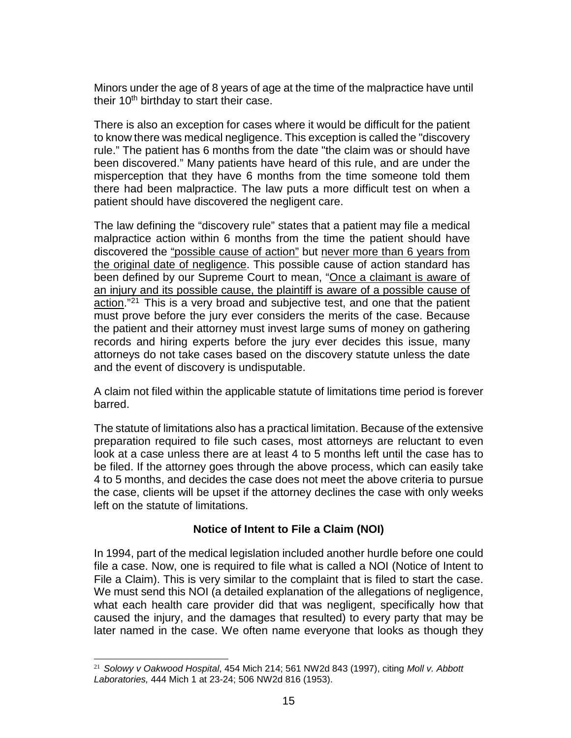Minors under the age of 8 years of age at the time of the malpractice have until their  $10<sup>th</sup>$  birthday to start their case.

There is also an exception for cases where it would be difficult for the patient to know there was medical negligence. This exception is called the "discovery rule." The patient has 6 months from the date "the claim was or should have been discovered." Many patients have heard of this rule, and are under the misperception that they have 6 months from the time someone told them there had been malpractice. The law puts a more difficult test on when a patient should have discovered the negligent care.

The law defining the "discovery rule" states that a patient may file a medical malpractice action within 6 months from the time the patient should have discovered the "possible cause of action" but never more than 6 years from the original date of negligence. This possible cause of action standard has been defined by our Supreme Court to mean, "Once a claimant is aware of an injury and its possible cause, the plaintiff is aware of a possible cause of action."[21](#page-14-0) This is a very broad and subjective test, and one that the patient must prove before the jury ever considers the merits of the case. Because the patient and their attorney must invest large sums of money on gathering records and hiring experts before the jury ever decides this issue, many attorneys do not take cases based on the discovery statute unless the date and the event of discovery is undisputable.

A claim not filed within the applicable statute of limitations time period is forever barred.

The statute of limitations also has a practical limitation. Because of the extensive preparation required to file such cases, most attorneys are reluctant to even look at a case unless there are at least 4 to 5 months left until the case has to be filed. If the attorney goes through the above process, which can easily take 4 to 5 months, and decides the case does not meet the above criteria to pursue the case, clients will be upset if the attorney declines the case with only weeks left on the statute of limitations.

# **Notice of Intent to File a Claim (NOI)**

In 1994, part of the medical legislation included another hurdle before one could file a case. Now, one is required to file what is called a NOI (Notice of Intent to File a Claim). This is very similar to the complaint that is filed to start the case. We must send this NOI (a detailed explanation of the allegations of negligence, what each health care provider did that was negligent, specifically how that caused the injury, and the damages that resulted) to every party that may be later named in the case. We often name everyone that looks as though they

<span id="page-14-0"></span> <sup>21</sup> *Solowy v Oakwood Hospital*, 454 Mich 214; 561 NW2d 843 (1997), citing *Moll v. Abbott Laboratories,* 444 Mich 1 at 23-24; 506 NW2d 816 (1953).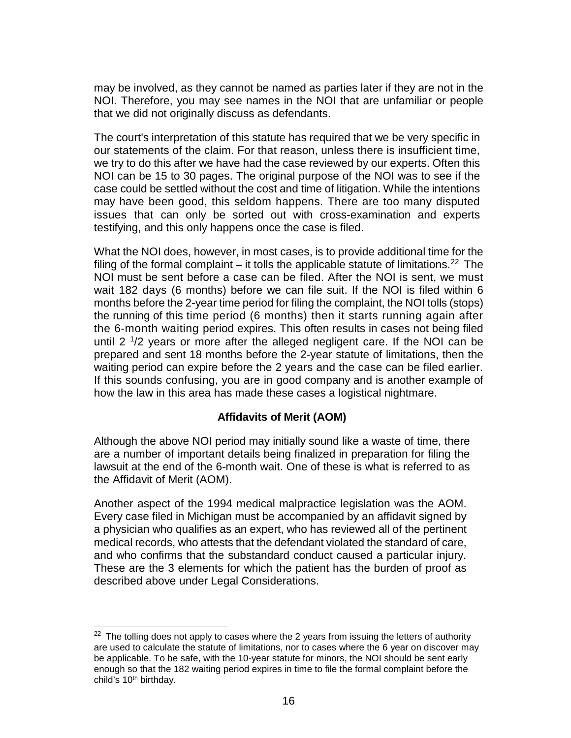may be involved, as they cannot be named as parties later if they are not in the NOI. Therefore, you may see names in the NOI that are unfamiliar or people that we did not originally discuss as defendants.

The court's interpretation of this statute has required that we be very specific in our statements of the claim. For that reason, unless there is insufficient time, we try to do this after we have had the case reviewed by our experts. Often this NOI can be 15 to 30 pages. The original purpose of the NOI was to see if the case could be settled without the cost and time of litigation. While the intentions may have been good, this seldom happens. There are too many disputed issues that can only be sorted out with cross-examination and experts testifying, and this only happens once the case is filed.

What the NOI does, however, in most cases, is to provide additional time for the filing of the formal complaint  $-$  it tolls the applicable statute of limitations.<sup>[22](#page-15-0)</sup> The NOI must be sent before a case can be filed. After the NOI is sent, we must wait 182 days (6 months) before we can file suit. If the NOI is filed within 6 months before the 2-year time period for filing the complaint, the NOI tolls (stops) the running of this time period (6 months) then it starts running again after the 6-month waiting period expires. This often results in cases not being filed until 2 1/2 years or more after the alleged negligent care. If the NOI can be prepared and sent 18 months before the 2-year statute of limitations, then the waiting period can expire before the 2 years and the case can be filed earlier. If this sounds confusing, you are in good company and is another example of how the law in this area has made these cases a logistical nightmare.

## **Affidavits of Merit (AOM)**

Although the above NOI period may initially sound like a waste of time, there are a number of important details being finalized in preparation for filing the lawsuit at the end of the 6-month wait. One of these is what is referred to as the Affidavit of Merit (AOM).

Another aspect of the 1994 medical malpractice legislation was the AOM. Every case filed in Michigan must be accompanied by an affidavit signed by a physician who qualifies as an expert, who has reviewed all of the pertinent medical records, who attests that the defendant violated the standard of care, and who confirms that the substandard conduct caused a particular injury. These are the 3 elements for which the patient has the burden of proof as described above under Legal Considerations.

<span id="page-15-0"></span> $22$  The tolling does not apply to cases where the 2 years from issuing the letters of authority are used to calculate the statute of limitations, nor to cases where the 6 year on discover may be applicable. To be safe, with the 10-year statute for minors, the NOI should be sent early enough so that the 182 waiting period expires in time to file the formal complaint before the child's 10<sup>th</sup> birthday.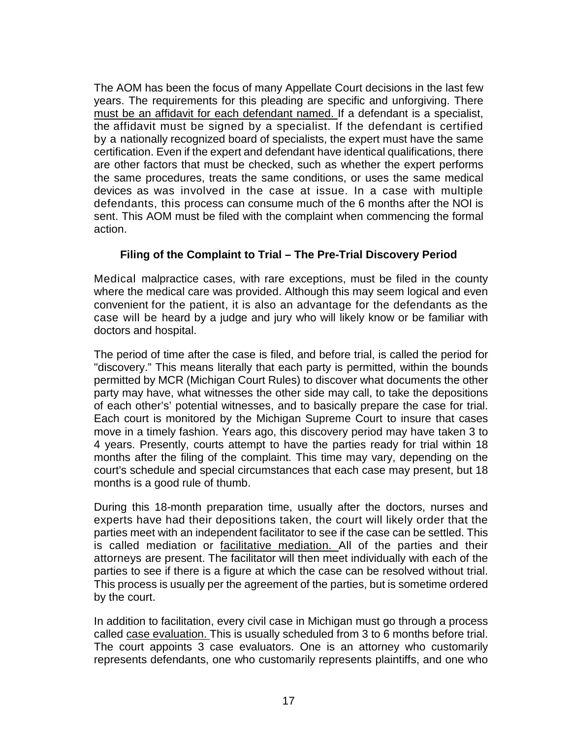The AOM has been the focus of many Appellate Court decisions in the last few years. The requirements for this pleading are specific and unforgiving. There must be an affidavit for each defendant named. If a defendant is a specialist, the affidavit must be signed by a specialist. If the defendant is certified by a nationally recognized board of specialists, the expert must have the same certification. Even if the expert and defendant have identical qualifications, there are other factors that must be checked, such as whether the expert performs the same procedures, treats the same conditions, or uses the same medical devices as was involved in the case at issue. In a case with multiple defendants, this process can consume much of the 6 months after the NOI is sent. This AOM must be filed with the complaint when commencing the formal action.

# **Filing of the Complaint to Trial – The Pre-Trial Discovery Period**

Medical malpractice cases, with rare exceptions, must be filed in the county where the medical care was provided. Although this may seem logical and even convenient for the patient, it is also an advantage for the defendants as the case will be heard by a judge and jury who will likely know or be familiar with doctors and hospital.

The period of time after the case is filed, and before trial, is called the period for "discovery." This means literally that each party is permitted, within the bounds permitted by MCR (Michigan Court Rules) to discover what documents the other party may have, what witnesses the other side may call, to take the depositions of each other's' potential witnesses, and to basically prepare the case for trial. Each court is monitored by the Michigan Supreme Court to insure that cases move in a timely fashion. Years ago, this discovery period may have taken 3 to 4 years. Presently, courts attempt to have the parties ready for trial within 18 months after the filing of the complaint. This time may vary, depending on the court's schedule and special circumstances that each case may present, but 18 months is a good rule of thumb.

During this 18-month preparation time, usually after the doctors, nurses and experts have had their depositions taken, the court will likely order that the parties meet with an independent facilitator to see if the case can be settled. This is called mediation or facilitative mediation. All of the parties and their attorneys are present. The facilitator will then meet individually with each of the parties to see if there is a figure at which the case can be resolved without trial. This process is usually per the agreement of the parties, but is sometime ordered by the court.

In addition to facilitation, every civil case in Michigan must go through a process called case evaluation. This is usually scheduled from 3 to 6 months before trial. The court appoints 3 case evaluators. One is an attorney who customarily represents defendants, one who customarily represents plaintiffs, and one who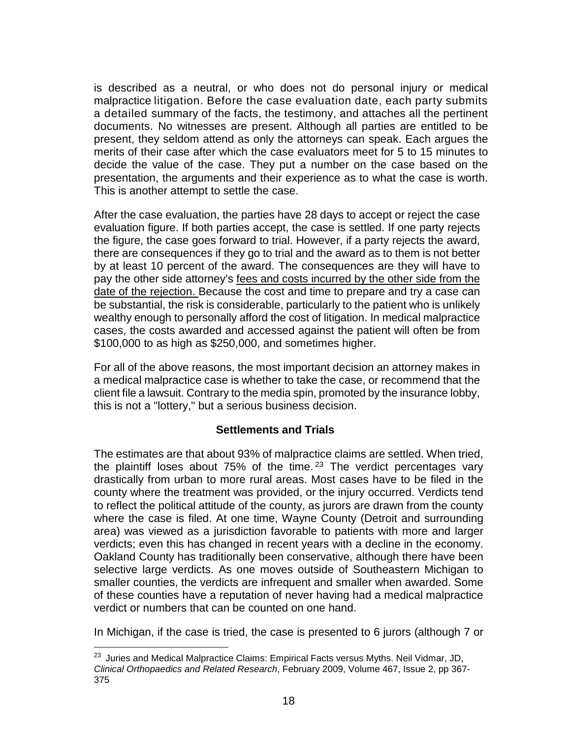is described as a neutral, or who does not do personal injury or medical malpractice litigation. Before the case evaluation date, each party submits a detailed summary of the facts, the testimony, and attaches all the pertinent documents. No witnesses are present. Although all parties are entitled to be present, they seldom attend as only the attorneys can speak. Each argues the merits of their case after which the case evaluators meet for 5 to 15 minutes to decide the value of the case. They put a number on the case based on the presentation, the arguments and their experience as to what the case is worth. This is another attempt to settle the case.

After the case evaluation, the parties have 28 days to accept or reject the case evaluation figure. If both parties accept, the case is settled. If one party rejects the figure, the case goes forward to trial. However, if a party rejects the award, there are consequences if they go to trial and the award as to them is not better by at least 10 percent of the award. The consequences are they will have to pay the other side attorney's fees and costs incurred by the other side from the date of the rejection. Because the cost and time to prepare and try a case can be substantial, the risk is considerable, particularly to the patient who is unlikely wealthy enough to personally afford the cost of litigation. In medical malpractice cases, the costs awarded and accessed against the patient will often be from \$100,000 to as high as \$250,000, and sometimes higher.

For all of the above reasons, the most important decision an attorney makes in a medical malpractice case is whether to take the case, or recommend that the client file a lawsuit. Contrary to the media spin, promoted by the insurance lobby, this is not a "lottery," but a serious business decision.

### **Settlements and Trials**

The estimates are that about 93% of malpractice claims are settled. When tried, the plaintiff loses about  $75\%$  of the time.<sup>[23](#page-17-0)</sup> The verdict percentages vary drastically from urban to more rural areas. Most cases have to be filed in the county where the treatment was provided, or the injury occurred. Verdicts tend to reflect the political attitude of the county, as jurors are drawn from the county where the case is filed. At one time, Wayne County (Detroit and surrounding area) was viewed as a jurisdiction favorable to patients with more and larger verdicts; even this has changed in recent years with a decline in the economy. Oakland County has traditionally been conservative, although there have been selective large verdicts. As one moves outside of Southeastern Michigan to smaller counties, the verdicts are infrequent and smaller when awarded. Some of these counties have a reputation of never having had a medical malpractice verdict or numbers that can be counted on one hand.

In Michigan, if the case is tried, the case is presented to 6 jurors (although 7 or

<span id="page-17-0"></span>l <sup>23</sup> Juries and Medical Malpractice Claims: Empirical Facts versus Myths. Neil Vidmar, JD, *Clinical Orthopaedics and Related Research*, February 2009, Volume 467, Issue 2, pp 367- 375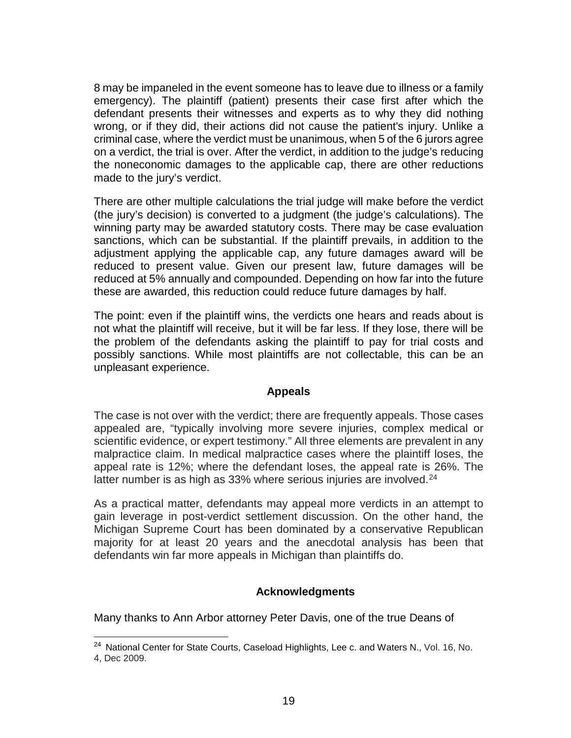8 may be impaneled in the event someone has to leave due to illness or a family emergency). The plaintiff (patient) presents their case first after which the defendant presents their witnesses and experts as to why they did nothing wrong, or if they did, their actions did not cause the patient's injury. Unlike a criminal case, where the verdict must be unanimous, when 5 of the 6 jurors agree on a verdict, the trial is over. After the verdict, in addition to the judge's reducing the noneconomic damages to the applicable cap, there are other reductions made to the jury's verdict.

There are other multiple calculations the trial judge will make before the verdict (the jury's decision) is converted to a judgment (the judge's calculations). The winning party may be awarded statutory costs. There may be case evaluation sanctions, which can be substantial. If the plaintiff prevails, in addition to the adjustment applying the applicable cap, any future damages award will be reduced to present value. Given our present law, future damages will be reduced at 5% annually and compounded. Depending on how far into the future these are awarded, this reduction could reduce future damages by half.

The point: even if the plaintiff wins, the verdicts one hears and reads about is not what the plaintiff will receive, but it will be far less. If they lose, there will be the problem of the defendants asking the plaintiff to pay for trial costs and possibly sanctions. While most plaintiffs are not collectable, this can be an unpleasant experience.

#### **Appeals**

The case is not over with the verdict; there are frequently appeals. Those cases appealed are, "typically involving more severe injuries, complex medical or scientific evidence, or expert testimony." All three elements are prevalent in any malpractice claim. In medical malpractice cases where the plaintiff loses, the appeal rate is 12%; where the defendant loses, the appeal rate is 26%. The latter number is as high as 33% where serious injuries are involved.<sup>[24](#page-18-0)</sup>

As a practical matter, defendants may appeal more verdicts in an attempt to gain leverage in post-verdict settlement discussion. On the other hand, the Michigan Supreme Court has been dominated by a conservative Republican majority for at least 20 years and the anecdotal analysis has been that defendants win far more appeals in Michigan than plaintiffs do.

#### **Acknowledgments**

Many thanks to Ann Arbor attorney Peter Davis, one of the true Deans of

<span id="page-18-0"></span><sup>&</sup>lt;sup>24</sup> National Center for State Courts, Caseload Highlights, Lee c. and Waters N., Vol. 16, No. 4, Dec 2009.